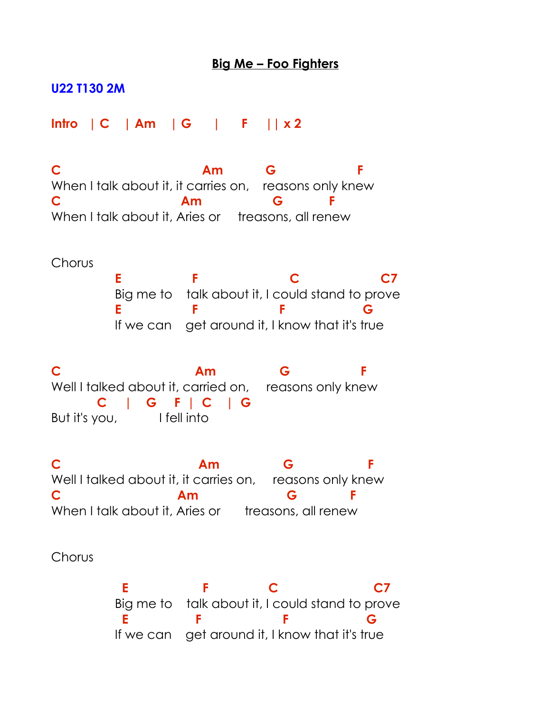## **Big Me – Foo Fighters**

## **U22 T130 2M**

**Intro | C | Am | G | F || x 2**

**C Am G F** When I talk about it, it carries on, reasons only knew **C Am G F** When I talk about it, Aries or treasons, all renew

**Chorus** 

E F C C7 Big me to talk about it, I could stand to prove **E F F G** If we can get around it, I know that it's true

**C Am G F** Well I talked about it, carried on, reasons only knew  **C | G F | C | G**  But it's you, I fell into

**C Am G F** Well I talked about it, it carries on, reasons only knew **C Am G F** When I talk about it, Aries or treasons, all renew

Chorus

**E** F C C7 Big me to talk about it, I could stand to prove  **E F F G**  If we can get around it, I know that it's true